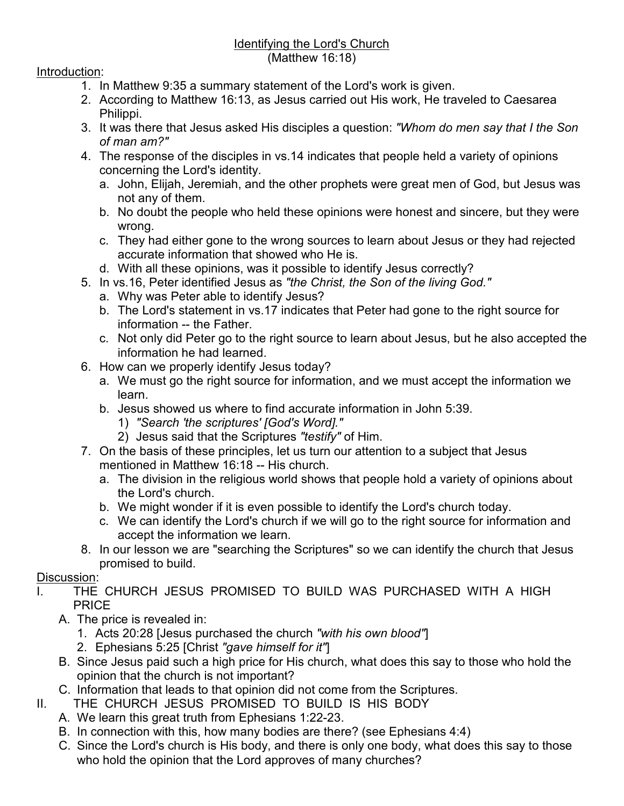## Identifying the Lord's Church (Matthew 16:18)

## Introduction:

- 1. In Matthew 9:35 a summary statement of the Lord's work is given.
- 2. According to Matthew 16:13, as Jesus carried out His work, He traveled to Caesarea Philippi.
- 3. It was there that Jesus asked His disciples a question: *"Whom do men say that I the Son of man am?"*
- 4. The response of the disciples in vs.14 indicates that people held a variety of opinions concerning the Lord's identity.
	- a. John, Elijah, Jeremiah, and the other prophets were great men of God, but Jesus was not any of them.
	- b. No doubt the people who held these opinions were honest and sincere, but they were wrong.
	- c. They had either gone to the wrong sources to learn about Jesus or they had rejected accurate information that showed who He is.
	- d. With all these opinions, was it possible to identify Jesus correctly?
- 5. In vs.16, Peter identified Jesus as *"the Christ, the Son of the living God."*
	- a. Why was Peter able to identify Jesus?
	- b. The Lord's statement in vs.17 indicates that Peter had gone to the right source for information -- the Father.
	- c. Not only did Peter go to the right source to learn about Jesus, but he also accepted the information he had learned.
- 6. How can we properly identify Jesus today?
	- a. We must go the right source for information, and we must accept the information we learn.
	- b. Jesus showed us where to find accurate information in John 5:39.
		- 1) *"Search 'the scriptures' [God's Word]."*
		- 2) Jesus said that the Scriptures *"testify"* of Him.
- 7. On the basis of these principles, let us turn our attention to a subject that Jesus mentioned in Matthew 16:18 -- His church.
	- a. The division in the religious world shows that people hold a variety of opinions about the Lord's church.
	- b. We might wonder if it is even possible to identify the Lord's church today.
	- c. We can identify the Lord's church if we will go to the right source for information and accept the information we learn.
- 8. In our lesson we are "searching the Scriptures" so we can identify the church that Jesus promised to build.

## Discussion:

- I. THE CHURCH JESUS PROMISED TO BUILD WAS PURCHASED WITH A HIGH PRICE
	- A. The price is revealed in:
		- 1. Acts 20:28 [Jesus purchased the church *"with his own blood"*]
		- 2. Ephesians 5:25 [Christ *"gave himself for it"*]
	- B. Since Jesus paid such a high price for His church, what does this say to those who hold the opinion that the church is not important?
	- C. Information that leads to that opinion did not come from the Scriptures.
- II. THE CHURCH JESUS PROMISED TO BUILD IS HIS BODY
	- A. We learn this great truth from Ephesians 1:22-23.
	- B. In connection with this, how many bodies are there? (see Ephesians 4:4)
	- C. Since the Lord's church is His body, and there is only one body, what does this say to those who hold the opinion that the Lord approves of many churches?